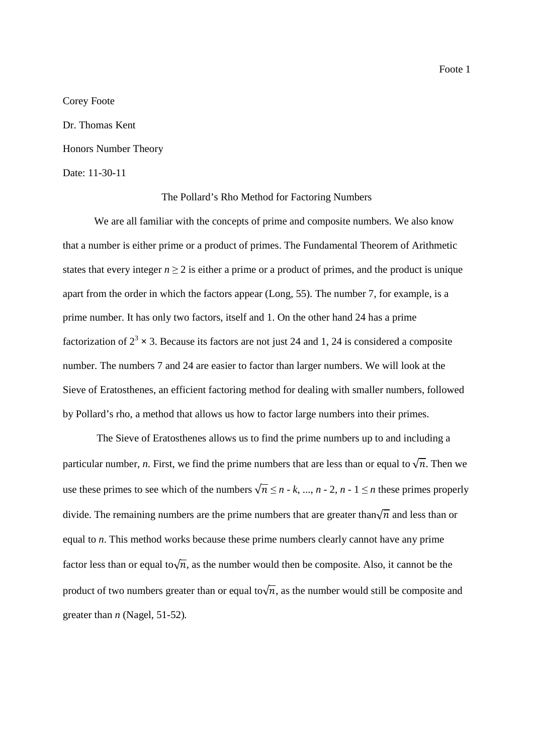Corey Foote

Dr. Thomas Kent Honors Number Theory

## Date: 11-30-11

#### The Pollard's Rho Method for Factoring Numbers

We are all familiar with the concepts of prime and composite numbers. We also know that a number is either prime or a product of primes. The Fundamental Theorem of Arithmetic states that every integer  $n \geq 2$  is either a prime or a product of primes, and the product is unique apart from the order in which the factors appear (Long, 55). The number 7, for example, is a prime number. It has only two factors, itself and 1. On the other hand 24 has a prime factorization of  $2^3 \times 3$ . Because its factors are not just 24 and 1, 24 is considered a composite number. The numbers 7 and 24 are easier to factor than larger numbers. We will look at the Sieve of Eratosthenes, an efficient factoring method for dealing with smaller numbers, followed by Pollard's rho, a method that allows us how to factor large numbers into their primes.

 The Sieve of Eratosthenes allows us to find the prime numbers up to and including a particular number, *n*. First, we find the prime numbers that are less than or equal to  $\sqrt{n}$ . Then we use these primes to see which of the numbers  $\sqrt{n} \le n - k$ , ...,  $n - 2$ ,  $n - 1 \le n$  these primes properly divide. The remaining numbers are the prime numbers that are greater than $\sqrt{n}$  and less than or equal to *n*. This method works because these prime numbers clearly cannot have any prime factor less than or equal to $\sqrt{n}$ , as the number would then be composite. Also, it cannot be the product of two numbers greater than or equal to $\sqrt{n}$ , as the number would still be composite and greater than *n* (Nagel, 51-52)*.*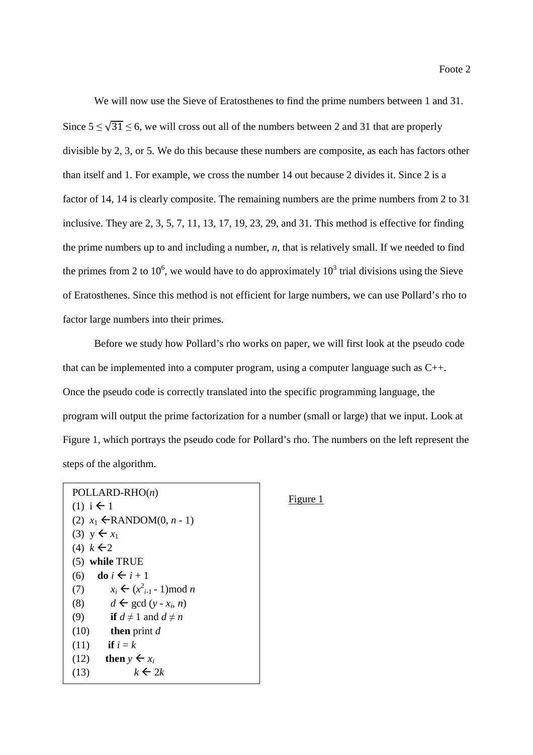We will now use the Sieve of Eratosthenes to find the prime numbers between 1 and 31. Since  $5 \le \sqrt{31} \le 6$ , we will cross out all of the numbers between 2 and 31 that are properly divisible by 2, 3, or 5. We do this because these numbers are composite, as each has factors other than itself and 1. For example, we cross the number 14 out because 2 divides it. Since 2 is a factor of 14, 14 is clearly composite. The remaining numbers are the prime numbers from 2 to 31 inclusive. They are 2, 3, 5, 7, 11, 13, 17, 19, 23, 29, and 31. This method is effective for finding the prime numbers up to and including a number, *n*, that is relatively small. If we needed to find the primes from 2 to 10<sup>6</sup>, we would have to do approximately  $10^3$  trial divisions using the Sieve of Eratosthenes. Since this method is not efficient for large numbers, we can use Pollard's rho to factor large numbers into their primes.

 Before we study how Pollard's rho works on paper, we will first look at the pseudo code that can be implemented into a computer program, using a computer language such as C++. Once the pseudo code is correctly translated into the specific programming language, the program will output the prime factorization for a number (small or large) that we input. Look at Figure 1, which portrays the pseudo code for Pollard's rho. The numbers on the left represent the steps of the algorithm.

```
 POLLARD-RHO(n) 
(1) i \leftarrow 1(2) x_1 \inRANDOM(0, n - 1)
(3) y \leftarrow x_1(4) k \in 2(5) while TRUE 
(6) do i \leftarrow i + 1(7) x_i \leftarrow (x_{i-1}^2 - 1) \mod n(8) d \leftarrow \gcd(y - x_i, n)(9) if d \neq 1 and d \neq n(10) then print d
(11) if i = k(12) then y \leftarrow x_ik \leftarrow 2k
```
### Figure 1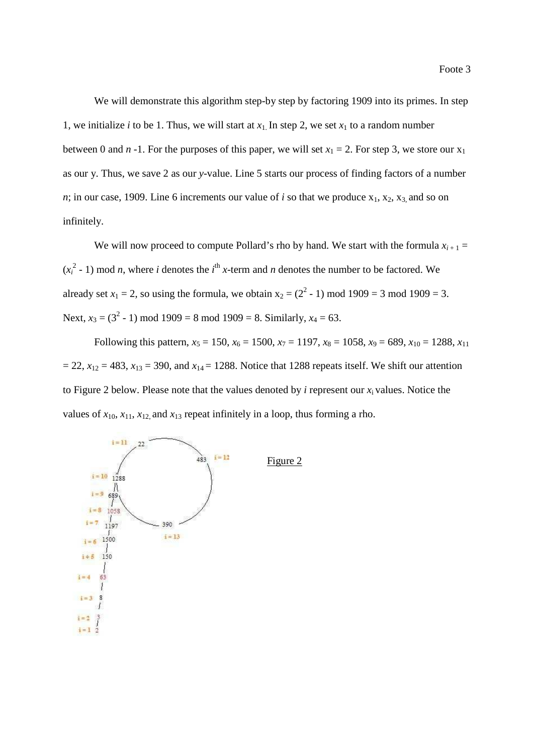We will demonstrate this algorithm step-by step by factoring 1909 into its primes. In step 1, we initialize *i* to be 1. Thus, we will start at  $x_1$ . In step 2, we set  $x_1$  to a random number between 0 and *n* -1. For the purposes of this paper, we will set  $x_1 = 2$ . For step 3, we store our  $x_1$ as our y. Thus, we save 2 as our *y*-value. Line 5 starts our process of finding factors of a number *n*; in our case, 1909. Line 6 increments our value of *i* so that we produce  $x_1, x_2, x_3$  and so on infinitely.

We will now proceed to compute Pollard's rho by hand. We start with the formula  $x_{i+1}$  =  $(x_i^2 - 1)$  mod *n*, where *i* denotes the *i*<sup>th</sup> *x*-term and *n* denotes the number to be factored. We already set  $x_1 = 2$ , so using the formula, we obtain  $x_2 = (2^2 - 1) \text{ mod } 1909 = 3 \text{ mod } 1909 = 3$ . Next,  $x_3 = (3^2 - 1) \text{ mod } 1909 = 8 \text{ mod } 1909 = 8$ . Similarly,  $x_4 = 63$ .

Following this pattern,  $x_5 = 150$ ,  $x_6 = 1500$ ,  $x_7 = 1197$ ,  $x_8 = 1058$ ,  $x_9 = 689$ ,  $x_{10} = 1288$ ,  $x_{11}$  $= 22$ ,  $x_{12} = 483$ ,  $x_{13} = 390$ , and  $x_{14} = 1288$ . Notice that 1288 repeats itself. We shift our attention to Figure 2 below. Please note that the values denoted by *i* represent our  $x_i$  values. Notice the values of  $x_{10}$ ,  $x_{11}$ ,  $x_{12}$ , and  $x_{13}$  repeat infinitely in a loop, thus forming a rho.

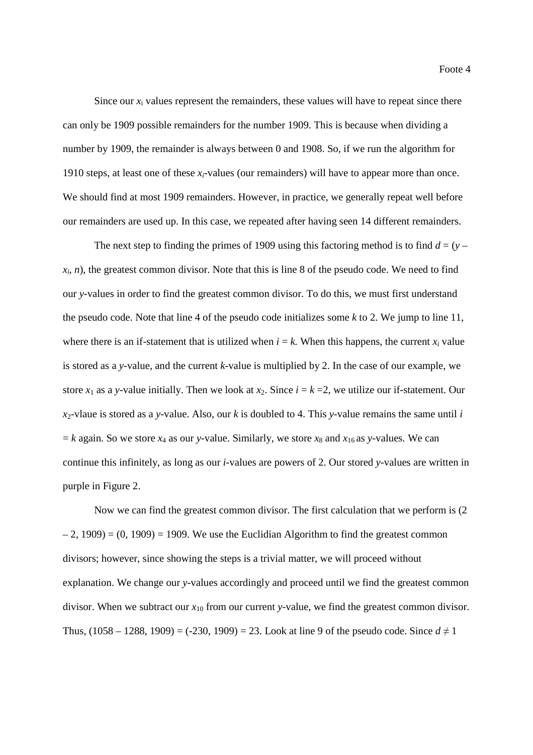Foote 4

Since our  $x_i$  values represent the remainders, these values will have to repeat since there can only be 1909 possible remainders for the number 1909. This is because when dividing a number by 1909, the remainder is always between 0 and 1908. So, if we run the algorithm for 1910 steps, at least one of these  $x_i$ -values (our remainders) will have to appear more than once. We should find at most 1909 remainders. However, in practice, we generally repeat well before our remainders are used up. In this case, we repeated after having seen 14 different remainders.

The next step to finding the primes of 1909 using this factoring method is to find  $d = (y$  $x_i$ , *n*), the greatest common divisor. Note that this is line 8 of the pseudo code. We need to find our *y*-values in order to find the greatest common divisor. To do this, we must first understand the pseudo code. Note that line 4 of the pseudo code initializes some *k* to 2. We jump to line 11, where there is an if-statement that is utilized when  $i = k$ . When this happens, the current  $x_i$  value is stored as a *y*-value, and the current *k*-value is multiplied by 2. In the case of our example, we store  $x_1$  as a *y*-value initially. Then we look at  $x_2$ . Since  $i = k = 2$ , we utilize our if-statement. Our  $x_2$ -vlaue is stored as a *y*-value. Also, our *k* is doubled to 4. This *y*-value remains the same until *i*  $k = k$  again. So we store  $x_4$  as our *y*-value. Similarly, we store  $x_8$  and  $x_{16}$  as *y*-values. We can continue this infinitely, as long as our *i*-values are powers of 2. Our stored *y*-values are written in purple in Figure 2.

 Now we can find the greatest common divisor. The first calculation that we perform is (2  $-2$ , 1909) = (0, 1909) = 1909. We use the Euclidian Algorithm to find the greatest common divisors; however, since showing the steps is a trivial matter, we will proceed without explanation. We change our *y-*values accordingly and proceed until we find the greatest common divisor. When we subtract our *x*<sup>10</sup> from our current *y*-value, we find the greatest common divisor. Thus,  $(1058 - 1288, 1909) = (-230, 1909) = 23$ . Look at line 9 of the pseudo code. Since  $d \neq 1$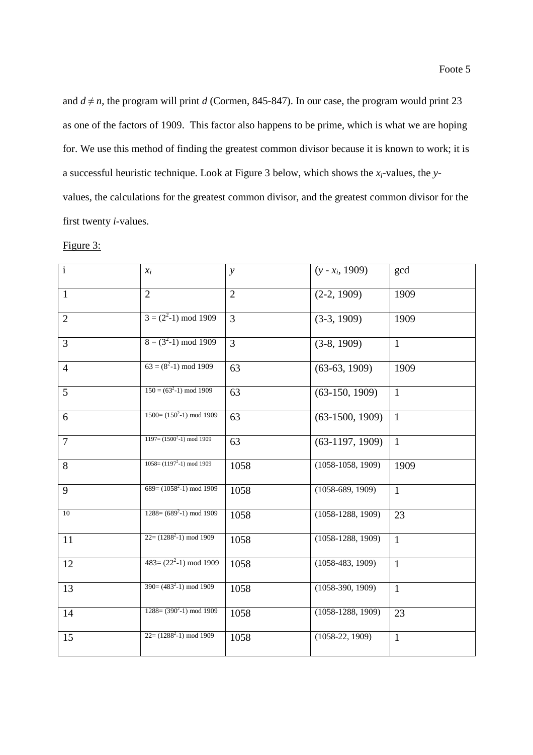and  $d \neq n$ , the program will print *d* (Cormen, 845-847). In our case, the program would print 23 as one of the factors of 1909. This factor also happens to be prime, which is what we are hoping for. We use this method of finding the greatest common divisor because it is known to work; it is a successful heuristic technique. Look at Figure 3 below, which shows the *xi*-values, the *y*values, the calculations for the greatest common divisor, and the greatest common divisor for the first twenty *i*-values.

#### Figure 3:

| $\mathbf{i}$   | $x_i$                                  | $\mathcal{Y}$  | $(y - x_i, 1909)$   | gcd          |
|----------------|----------------------------------------|----------------|---------------------|--------------|
| $\mathbf{1}$   | $\overline{2}$                         | $\overline{2}$ | $(2-2, 1909)$       | 1909         |
| $\overline{2}$ | $3 = (2^2-1) \mod 1909$                | 3              | $(3-3, 1909)$       | 1909         |
| 3              | $8 = (3^2-1) \mod 1909$                | $\overline{3}$ | $(3-8, 1909)$       | $\mathbf{1}$ |
| $\overline{4}$ | $63 = (8^2-1) \mod 1909$               | 63             | $(63-63, 1909)$     | 1909         |
| 5              | $150 = (632-1) \text{ mod } 1909$      | 63             | $(63-150, 1909)$    | $\mathbf{1}$ |
| 6              | $1500 = (1502-1) \text{ mod } 1909$    | 63             | $(63-1500, 1909)$   | $\mathbf{1}$ |
| $\overline{7}$ | $1197 = (15002 - 1) \text{ mod } 1909$ | 63             | $(63-1197, 1909)$   | $\mathbf{1}$ |
| 8              | $1058 = (11972 - 1) \text{ mod } 1909$ | 1058           | $(1058-1058, 1909)$ | 1909         |
| 9              | $689 = (10582-1) \text{ mod } 1909$    | 1058           | $(1058-689, 1909)$  | $\mathbf{1}$ |
| 10             | $1288 = (6892-1) \text{ mod } 1909$    | 1058           | $(1058-1288, 1909)$ | 23           |
| 11             | $22 = (12882-1) \mod 1909$             | 1058           | $(1058-1288, 1909)$ | $\mathbf{1}$ |
| 12             | $483=(22^2-1) \mod 1909$               | 1058           | $(1058-483, 1909)$  | $\mathbf{1}$ |
| 13             | $390 = (4832-1) \text{ mod } 1909$     | 1058           | $(1058-390, 1909)$  | $\mathbf{1}$ |
| 14             | $1288 = (3902-1) \text{ mod } 1909$    | 1058           | $(1058-1288, 1909)$ | 23           |
| 15             | $22 = (12882-1) \mod 1909$             | 1058           | $(1058-22, 1909)$   | $\mathbf{1}$ |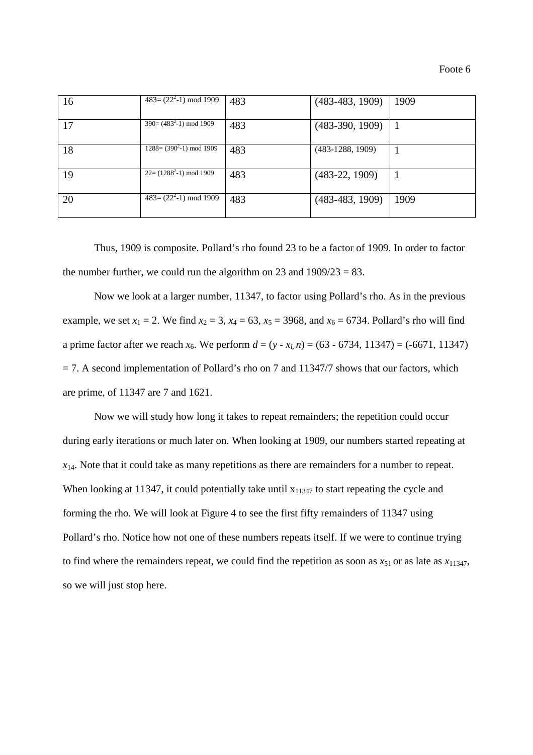| 16 | $483 = (22^{2}-1)$ mod 1909            | 483 | $(483-483, 1909)$  | 1909 |
|----|----------------------------------------|-----|--------------------|------|
| 17 | $390 = (4832-1) \text{ mod } 1909$     | 483 | $(483-390, 1909)$  |      |
| 18 | $1288 = (390^2 - 1) \text{ mod } 1909$ | 483 | $(483-1288, 1909)$ |      |
| 19 | $22 = (12882-1) \mod 1909$             | 483 | $(483-22, 1909)$   |      |
| 20 | $483 = (22^{2}-1)$ mod 1909            | 483 | $(483-483, 1909)$  | 1909 |

 Thus, 1909 is composite. Pollard's rho found 23 to be a factor of 1909. In order to factor the number further, we could run the algorithm on 23 and  $1909/23 = 83$ .

 Now we look at a larger number, 11347, to factor using Pollard's rho. As in the previous example, we set  $x_1 = 2$ . We find  $x_2 = 3$ ,  $x_4 = 63$ ,  $x_5 = 3968$ , and  $x_6 = 6734$ . Pollard's rho will find a prime factor after we reach  $x_6$ . We perform  $d = (y - x_i, n) = (63 - 6734, 11347) = (-6671, 11347)$  $= 7$ . A second implementation of Pollard's rho on 7 and 11347/7 shows that our factors, which are prime, of 11347 are 7 and 1621.

 Now we will study how long it takes to repeat remainders; the repetition could occur during early iterations or much later on. When looking at 1909, our numbers started repeating at  $x_{14}$ . Note that it could take as many repetitions as there are remainders for a number to repeat. When looking at 11347, it could potentially take until  $x_{11347}$  to start repeating the cycle and forming the rho. We will look at Figure 4 to see the first fifty remainders of 11347 using Pollard's rho. Notice how not one of these numbers repeats itself. If we were to continue trying to find where the remainders repeat, we could find the repetition as soon as  $x_{51}$  or as late as  $x_{11347}$ , so we will just stop here.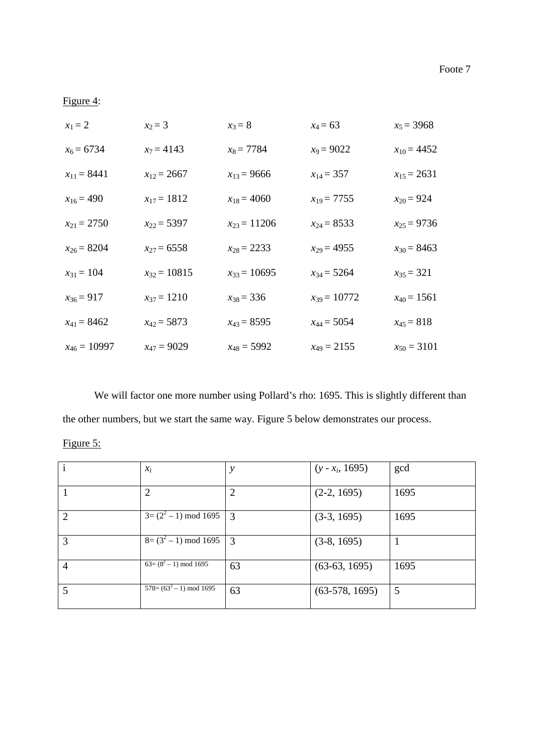# Figure 4:

| $x_1 = 2$        | $x_2 = 3$        | $x_3 = 8$        | $x_4 = 63$       | $x_5 = 3968$    |
|------------------|------------------|------------------|------------------|-----------------|
| $x_6 = 6734$     | $x_7 = 4143$     | $x_8 = 7784$     | $x_9 = 9022$     | $x_{10} = 4452$ |
| $x_{11} = 8441$  | $x_{12} = 2667$  | $x_{13} = 9666$  | $x_{14} = 357$   | $x_{15} = 2631$ |
| $x_{16} = 490$   | $x_{17} = 1812$  | $x_{18} = 4060$  | $x_{19} = 7755$  | $x_{20} = 924$  |
| $x_{21} = 2750$  | $x_{22} = 5397$  | $x_{23} = 11206$ | $x_{24} = 8533$  | $x_{25} = 9736$ |
| $x_{26} = 8204$  | $x_{27} = 6558$  | $x_{28} = 2233$  | $x_{29} = 4955$  | $x_{30} = 8463$ |
| $x_{31} = 104$   | $x_{32} = 10815$ | $x_{33} = 10695$ | $x_{34} = 5264$  | $x_{35} = 321$  |
| $x_{36} = 917$   | $x_{37} = 1210$  | $x_{38} = 336$   | $x_{39} = 10772$ | $x_{40} = 1561$ |
| $x_{41} = 8462$  | $x_{42} = 5873$  | $x_{43} = 8595$  | $x_{44} = 5054$  | $x_{45} = 818$  |
| $x_{46} = 10997$ | $x_{47} = 9029$  | $x_{48} = 5992$  | $x_{49} = 2155$  | $x_{50} = 3101$ |

We will factor one more number using Pollard's rho: 1695. This is slightly different than the other numbers, but we start the same way. Figure 5 below demonstrates our process.

| $\mathbf{i}$   | $x_i$                                           | у  | $(y - x_i, 1695)$ | gcd  |
|----------------|-------------------------------------------------|----|-------------------|------|
|                | 2                                               | 2  | $(2-2, 1695)$     | 1695 |
| $\overline{2}$ | $3=(2^2-1) \mod 1695$                           | 3  | $(3-3, 1695)$     | 1695 |
| 3              | $8=(3^2-1)$ mod 1695                            | 3  | $(3-8, 1695)$     |      |
| $\overline{4}$ | $\sqrt{63} = (8^2 - 1) \mod 1695$               | 63 | $(63-63, 1695)$   | 1695 |
| 5              | $\overline{578} = (63^2 - 1) \text{ mod } 1695$ | 63 | $(63-578, 1695)$  | 5    |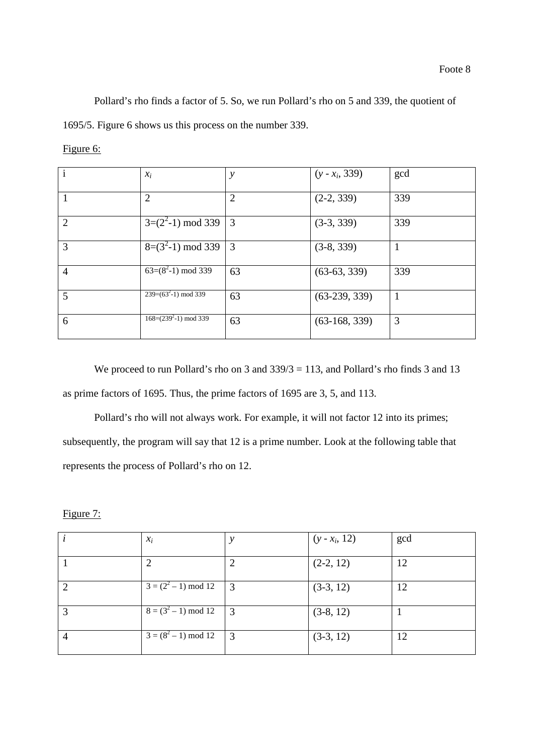Pollard's rho finds a factor of 5. So, we run Pollard's rho on 5 and 339, the quotient of 1695/5. Figure 6 shows us this process on the number 339.

| $\mathbf{i}$   | $x_i$                                    | y              | $(y - x_i, 339)$ | gcd |
|----------------|------------------------------------------|----------------|------------------|-----|
|                | 2                                        | $\overline{2}$ | $(2-2, 339)$     | 339 |
| 2              | $3=(2^2-1)$ mod 339                      | $\overline{3}$ | $(3-3, 339)$     | 339 |
| 3              | $\sqrt{8}$ = (3 <sup>2</sup> -1) mod 339 | 3              | $(3-8, 339)$     |     |
| $\overline{4}$ | $63=(8^2-1) \mod 339$                    | 63             | $(63-63, 339)$   | 339 |
| 5              | $239=(63^2-1) \mod 339$                  | 63             | $(63-239, 339)$  | 1   |
| 6              | $168 = (2392-1) \text{ mod } 339$        | 63             | $(63-168, 339)$  | 3   |

We proceed to run Pollard's rho on 3 and  $339/3 = 113$ , and Pollard's rho finds 3 and 13 as prime factors of 1695. Thus, the prime factors of 1695 are 3, 5, and 113.

 Pollard's rho will not always work. For example, it will not factor 12 into its primes; subsequently, the program will say that 12 is a prime number. Look at the following table that represents the process of Pollard's rho on 12.

Figure 7:

|   | $x_i$                   |                | $(y - x_i, 12)$ | gcd |
|---|-------------------------|----------------|-----------------|-----|
|   | 2                       |                | $(2-2, 12)$     | 12  |
| 2 | $3 = (2^2 - 1) \mod 12$ | $\vert$ 3      | $(3-3, 12)$     | 12  |
| 3 | $8 = (3^2 - 1) \mod 12$ | 3              | $(3-8, 12)$     |     |
|   | $3 = (8^2 - 1) \mod 12$ | $\overline{3}$ | $(3-3, 12)$     | 12  |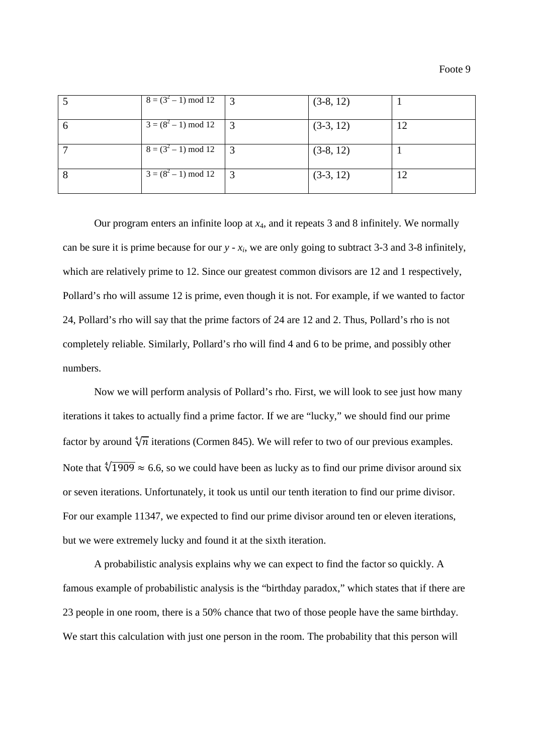|    | $8 = (3^2 - 1) \mod 12$ | $\vert$ 3 | $(3-8, 12)$ |    |
|----|-------------------------|-----------|-------------|----|
| 6  | $3 = (8^2 - 1) \mod 12$ |           | $(3-3, 12)$ | 12 |
|    | $8 = (3^2 - 1) \mod 12$ | $\vert$ 3 | $(3-8, 12)$ |    |
| -8 | $3 = (8^2 - 1) \mod 12$ | - 3       | $(3-3, 12)$ | 12 |

Our program enters an infinite loop at *x*4, and it repeats 3 and 8 infinitely. We normally can be sure it is prime because for our  $y - x_i$ , we are only going to subtract 3-3 and 3-8 infinitely, which are relatively prime to 12. Since our greatest common divisors are 12 and 1 respectively, Pollard's rho will assume 12 is prime, even though it is not. For example, if we wanted to factor 24, Pollard's rho will say that the prime factors of 24 are 12 and 2. Thus, Pollard's rho is not completely reliable. Similarly, Pollard's rho will find 4 and 6 to be prime, and possibly other numbers.

 Now we will perform analysis of Pollard's rho. First, we will look to see just how many iterations it takes to actually find a prime factor. If we are "lucky," we should find our prime factor by around  $\sqrt[4]{n}$  iterations (Cormen 845). We will refer to two of our previous examples. Note that  $\sqrt[4]{1909} \approx 6.6$ , so we could have been as lucky as to find our prime divisor around six or seven iterations. Unfortunately, it took us until our tenth iteration to find our prime divisor. For our example 11347, we expected to find our prime divisor around ten or eleven iterations, but we were extremely lucky and found it at the sixth iteration.

 A probabilistic analysis explains why we can expect to find the factor so quickly. A famous example of probabilistic analysis is the "birthday paradox," which states that if there are 23 people in one room, there is a 50% chance that two of those people have the same birthday. We start this calculation with just one person in the room. The probability that this person will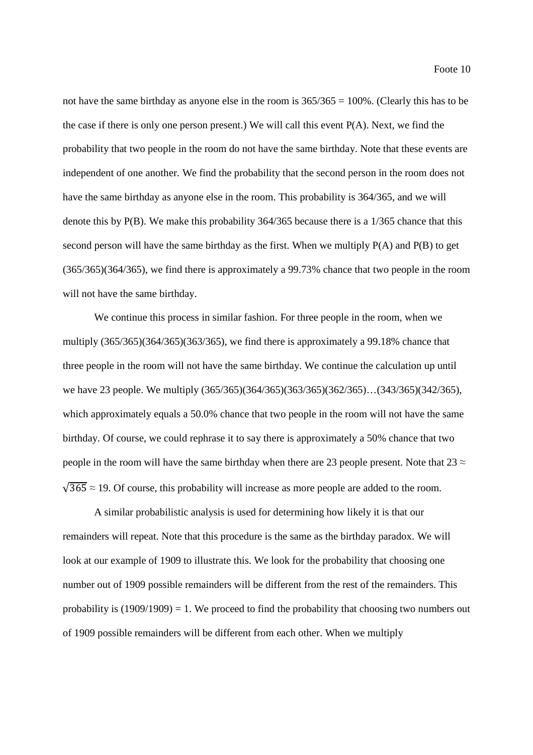not have the same birthday as anyone else in the room is  $365/365 = 100\%$ . (Clearly this has to be the case if there is only one person present.) We will call this event P(A). Next, we find the probability that two people in the room do not have the same birthday. Note that these events are independent of one another. We find the probability that the second person in the room does not have the same birthday as anyone else in the room. This probability is 364/365, and we will denote this by P(B). We make this probability 364/365 because there is a 1/365 chance that this second person will have the same birthday as the first. When we multiply P(A) and P(B) to get (365/365)(364/365), we find there is approximately a 99.73% chance that two people in the room will not have the same birthday.

 We continue this process in similar fashion. For three people in the room, when we multiply (365/365)(364/365)(363/365), we find there is approximately a 99.18% chance that three people in the room will not have the same birthday. We continue the calculation up until we have 23 people. We multiply (365/365)(364/365)(363/365)(362/365)…(343/365)(342/365), which approximately equals a 50.0% chance that two people in the room will not have the same birthday. Of course, we could rephrase it to say there is approximately a 50% chance that two people in the room will have the same birthday when there are 23 people present. Note that  $23 \approx$  $\sqrt{365} \approx 19$ . Of course, this probability will increase as more people are added to the room.

 A similar probabilistic analysis is used for determining how likely it is that our remainders will repeat. Note that this procedure is the same as the birthday paradox. We will look at our example of 1909 to illustrate this. We look for the probability that choosing one number out of 1909 possible remainders will be different from the rest of the remainders. This probability is  $(1909/1909) = 1$ . We proceed to find the probability that choosing two numbers out of 1909 possible remainders will be different from each other. When we multiply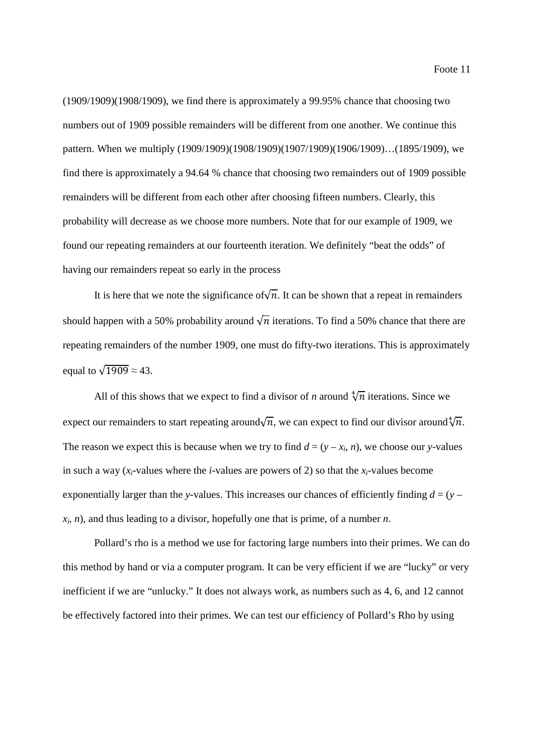(1909/1909)(1908/1909), we find there is approximately a 99.95% chance that choosing two numbers out of 1909 possible remainders will be different from one another. We continue this pattern. When we multiply (1909/1909)(1908/1909)(1907/1909)(1906/1909)…(1895/1909), we find there is approximately a 94.64 % chance that choosing two remainders out of 1909 possible remainders will be different from each other after choosing fifteen numbers. Clearly, this probability will decrease as we choose more numbers. Note that for our example of 1909, we found our repeating remainders at our fourteenth iteration. We definitely "beat the odds" of having our remainders repeat so early in the process

It is here that we note the significance of  $\sqrt{n}$ . It can be shown that a repeat in remainders should happen with a 50% probability around  $\sqrt{n}$  iterations. To find a 50% chance that there are repeating remainders of the number 1909, one must do fifty-two iterations. This is approximately equal to  $\sqrt{1909} \approx 43$ .

All of this shows that we expect to find a divisor of *n* around  $\sqrt[4]{n}$  iterations. Since we expect our remainders to start repeating around $\sqrt{n}$ , we can expect to find our divisor around $\sqrt[4]{n}$ . The reason we expect this is because when we try to find  $d = (y - x_i, n)$ , we choose our *y*-values in such a way  $(x_i$ -values where the *i*-values are powers of 2) so that the  $x_i$ -values become exponentially larger than the *y*-values. This increases our chances of efficiently finding  $d = (y$ *xi* , *n*), and thus leading to a divisor, hopefully one that is prime, of a number *n*.

 Pollard's rho is a method we use for factoring large numbers into their primes. We can do this method by hand or via a computer program. It can be very efficient if we are "lucky" or very inefficient if we are "unlucky." It does not always work, as numbers such as 4, 6, and 12 cannot be effectively factored into their primes. We can test our efficiency of Pollard's Rho by using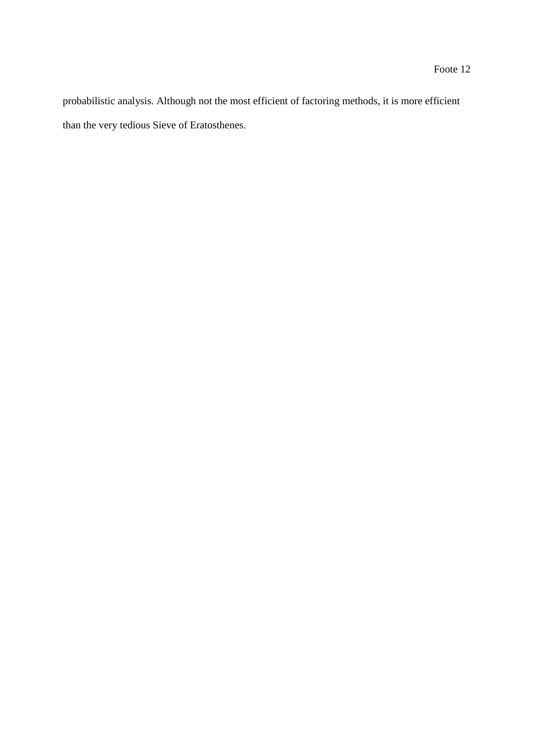probabilistic analysis. Although not the most efficient of factoring methods, it is more efficient than the very tedious Sieve of Eratosthenes.